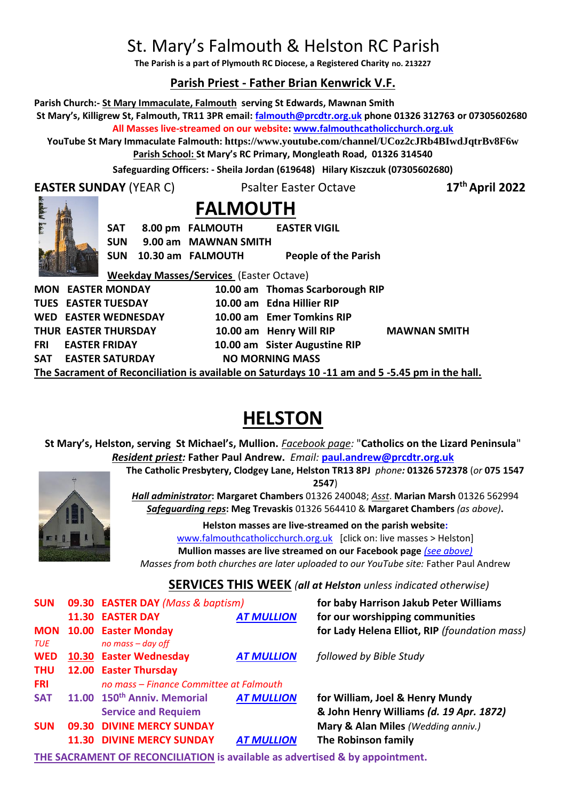# St. Mary's Falmouth & Helston RC Parish

**The Parish is a part of Plymouth RC Diocese, a Registered Charity no. 213227**

## **Parish Priest - Father Brian Kenwrick V.F.**

**Parish Church:- St Mary Immaculate, Falmouth serving St Edwards, Mawnan Smith**

**St Mary's, Killigrew St, Falmouth, TR11 3PR email: [falmouth@prcdtr.org.uk](mailto:falmouth@prcdtr.org.uk) phone 01326 312763 or 07305602680 All Masses live-streamed on our website[: www.falmouthcatholicchurch.org.uk](http://www.falmouthcatholicchurch.org.uk/)**

**YouTube St Mary Immaculate Falmouth: <https://www.youtube.com/channel/UCoz2cJRb4BIwdJqtrBv8F6w> Parish School: St Mary's RC Primary, Mongleath Road, 01326 314540**

**Safeguarding Officers: - Sheila Jordan (619648) Hilary Kiszczuk (07305602680)**

**EASTER SUNDAY** (YEAR C) Psalter Easter Octave

**th April 2022**



 **FALMOUTH**

**SAT 8.00 pm FALMOUTH EASTER VIGIL SUN 9.00 am MAWNAN SMITH** 

**SUN 10.30 am FALMOUTH People of the Parish** 

**Weekday Masses/Services** (Easter Octave) **MON EASTER MONDAY 10.00 am Thomas Scarborough RIP TUES EASTER TUESDAY 10.00 am Edna Hillier RIP WED EASTER WEDNESDAY 10.00 am Emer Tomkins RIP THUR EASTER THURSDAY 10.00 am Henry Will RIP MAWNAN SMITH FRI EASTER FRIDAY 10.00 am Sister Augustine RIP** SAT EASTER SATURDAY NO MORNING MASS

**The Sacrament of Reconciliation is available on Saturdays 10 -11 am and 5 -5.45 pm in the hall.**

# **HELSTON**

**St Mary's, Helston, serving St Michael's, Mullion.** *Facebook page:* "**Catholics on the Lizard Peninsula**" *Resident priest:* **Father Paul Andrew.** *Email:* **[paul.andrew@prcdtr.org.uk](mailto:paul.andrew@prcdtr.org.uk)**



**2547**) *Hall administrator***: Margaret Chambers** 01326 240048; *Asst*. **Marian Marsh** 01326 562994 *Safeguarding reps***: Meg Trevaskis** 01326 564410 & **Margaret Chambers** *(as above)***.** 

**The Catholic Presbytery, Clodgey Lane, Helston TR13 8PJ** *phone:* **01326 572378** (*or* **075 1547** 

**Helston masses are live-streamed on the parish website:**  [www.falmouthcatholicchurch.org.uk](http://www.falmouthcatholicchurch.org.uk/) [click on: live masses > Helston] **Mullion masses are live streamed on our Facebook page** *(see above)*

*Masses from both churches are later uploaded to our YouTube site:* Father Paul Andrew

## **SERVICES THIS WEEK** *(all at Helston unless indicated otherwise)*

| <b>SUN</b>        | 09.30 EASTER DAY (Mass & baptism)                                     |                   | for baby Harrison Jakub Peter Williams                                     |  |
|-------------------|-----------------------------------------------------------------------|-------------------|----------------------------------------------------------------------------|--|
|                   | <b>11.30 EASTER DAY</b>                                               | <b>AT MULLION</b> | for our worshipping communities                                            |  |
| <b>MON</b><br>TUE | 10.00 Easter Monday<br>no mass – day off                              |                   | for Lady Helena Elliot, RIP (foundation mass)                              |  |
| <b>WED</b>        | 10.30 Easter Wednesday                                                | <b>AT MULLION</b> | followed by Bible Study                                                    |  |
| <b>THU</b>        | 12.00 Easter Thursday                                                 |                   |                                                                            |  |
| <b>FRI</b>        | no mass – Finance Committee at Falmouth                               |                   |                                                                            |  |
| <b>SAT</b>        | 11.00 150 <sup>th</sup> Anniv. Memorial<br><b>Service and Requiem</b> | <b>AT MULLION</b> | for William, Joel & Henry Mundy<br>& John Henry Williams (d. 19 Apr. 1872) |  |
| <b>SUN</b>        | 09.30 DIVINE MERCY SUNDAY                                             |                   | Mary & Alan Miles (Wedding anniv.)                                         |  |
|                   | <b>11.30 DIVINE MERCY SUNDAY</b>                                      | <b>AT MULLION</b> | The Robinson family                                                        |  |

**THE SACRAMENT OF RECONCILIATION is available as advertised & by appointment.**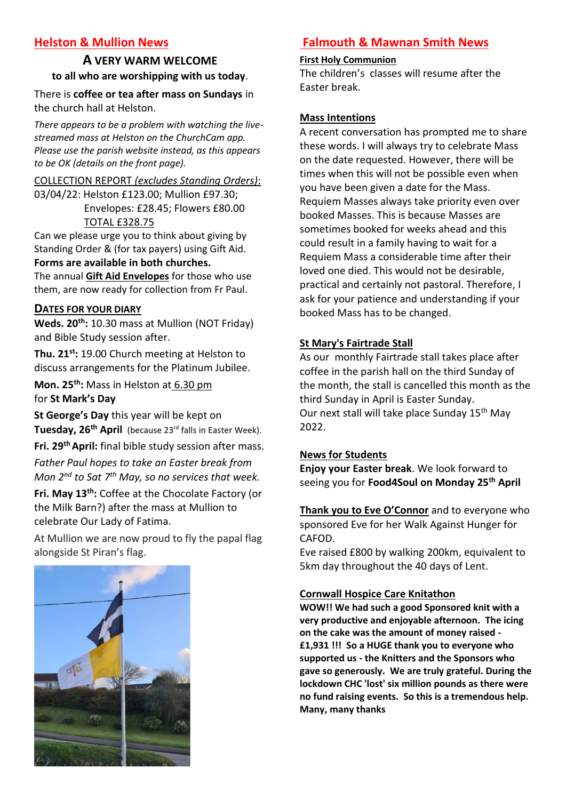# **Helston & Mullion News**

# **A VERY WARM WELCOME to all who are worshipping with us today**.

There is **coffee or tea after mass on Sundays** in the church hall at Helston.

*There appears to be a problem with watching the livestreamed mass at Helston on the ChurchCam app. Please use the parish website instead, as this appears to be OK (details on the front page).*

#### COLLECTION REPORT *(excludes Standing Orders)*:

03/04/22: Helston £123.00; Mullion £97.30; Envelopes: £28.45; Flowers £80.00 TOTAL £328.75

Can we please urge you to think about giving by Standing Order & (for tax payers) using Gift Aid.

## **Forms are available in both churches.**

The annual **Gift Aid Envelopes** for those who use them, are now ready for collection from Fr Paul.

#### **DATES FOR YOUR DIARY**

**Weds. 20th:** 10.30 mass at Mullion (NOT Friday) and Bible Study session after.

**Thu. 21st:** 19.00 Church meeting at Helston to discuss arrangements for the Platinum Jubilee.

**Mon. 25th:** Mass in Helston at 6.30 pm for **St Mark's Day**

**St George's Day** this year will be kept on **Tuesday, 26th April** (because 23rd falls in Easter Week).

**Fri. 29 thApril:** final bible study session after mass. *Father Paul hopes to take an Easter break from Mon 2nd to Sat 7th May, so no services that week.*

**Fri. May 13th:** Coffee at the Chocolate Factory (or the Milk Barn?) after the mass at Mullion to celebrate Our Lady of Fatima.

At Mullion we are now proud to fly the papal flag alongside St Piran's flag.



# **Falmouth & Mawnan Smith News**

#### **First Holy Communion**

The children's classes will resume after the Easter break.

#### **Mass Intentions**

A recent conversation has prompted me to share these words. I will always try to celebrate Mass on the date requested. However, there will be times when this will not be possible even when you have been given a date for the Mass. Requiem Masses always take priority even over booked Masses. This is because Masses are sometimes booked for weeks ahead and this could result in a family having to wait for a Requiem Mass a considerable time after their loved one died. This would not be desirable, practical and certainly not pastoral. Therefore, I ask for your patience and understanding if your booked Mass has to be changed.

#### **St Mary's Fairtrade Stall**

As our monthly Fairtrade stall takes place after coffee in the parish hall on the third Sunday of the month, the stall is cancelled this month as the third Sunday in April is Easter Sunday. Our next stall will take place Sunday 15<sup>th</sup> May 2022.

#### **News for Students**

**Enjoy your Easter break**. We look forward to seeing you for **Food4Soul on Monday 25th April**

**Thank you to Eve O'Connor** and to everyone who sponsored Eve for her Walk Against Hunger for CAFOD.

Eve raised £800 by walking 200km, equivalent to 5km day throughout the 40 days of Lent.

## **Cornwall Hospice Care Knitathon**

**WOW!! We had such a good Sponsored knit with a very productive and enjoyable afternoon. The icing on the cake was the amount of money raised - £1,931 !!! So a HUGE thank you to everyone who supported us - the Knitters and the Sponsors who gave so generously. We are truly grateful. During the lockdown CHC 'lost' six million pounds as there were no fund raising events. So this is a tremendous help. Many, many thanks**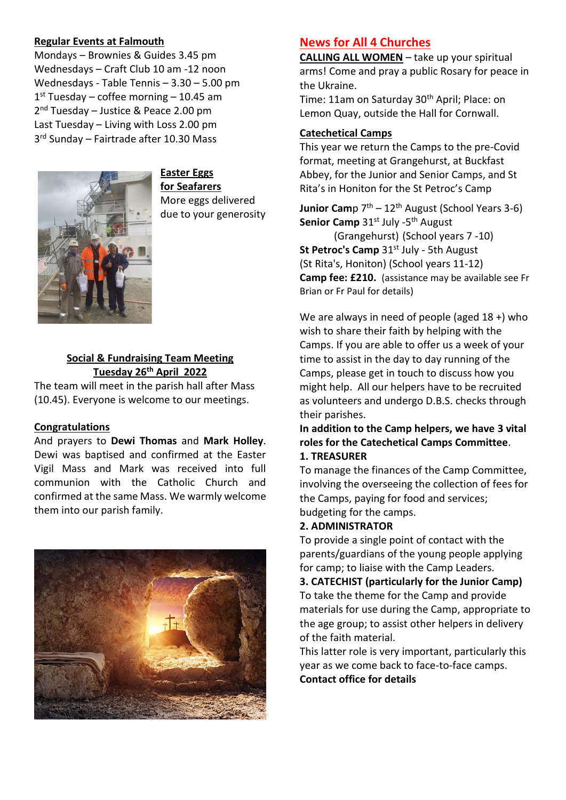#### **Regular Events at Falmouth**

Mondays – Brownies & Guides 3.45 pm Wednesdays – Craft Club 10 am -12 noon Wednesdays - Table Tennis – 3.30 – 5.00 pm 1 st Tuesday – coffee morning – 10.45 am 2<sup>nd</sup> Tuesday - Justice & Peace 2.00 pm Last Tuesday – Living with Loss 2.00 pm 3 rd Sunday – Fairtrade after 10.30 Mass



**Easter Eggs for Seafarers** More eggs delivered due to your generosity

## **Social & Fundraising Team Meeting Tuesday 26th April 2022**

The team will meet in the parish hall after Mass (10.45). Everyone is welcome to our meetings.

## **Congratulations**

And prayers to **Dewi Thomas** and **Mark Holley**. Dewi was baptised and confirmed at the Easter Vigil Mass and Mark was received into full communion with the Catholic Church and confirmed at the same Mass. We warmly welcome them into our parish family.



## **News for All 4 Churches**

**CALLING ALL WOMEN** – take up your spiritual arms! Come and pray a public Rosary for peace in the Ukraine.

Time: 11am on Saturday 30<sup>th</sup> April; Place: on Lemon Quay, outside the Hall for Cornwall.

#### **Catechetical Camps**

This year we return the Camps to the pre-Covid format, meeting at Grangehurst, at Buckfast Abbey, for the Junior and Senior Camps, and St Rita's in Honiton for the St Petroc's Camp

**Junior Cam**p 7<sup>th</sup> – 12<sup>th</sup> August (School Years 3-6) Senior Camp 31st July -5<sup>th</sup> August

(Grangehurst) (School years 7 -10) **St Petroc's Camp** 31<sup>st</sup> July - 5th August (St Rita's, Honiton) (School years 11-12) **Camp fee: £210.** (assistance may be available see Fr Brian or Fr Paul for details)

We are always in need of people (aged 18 +) who wish to share their faith by helping with the Camps. If you are able to offer us a week of your time to assist in the day to day running of the Camps, please get in touch to discuss how you might help. All our helpers have to be recruited as volunteers and undergo D.B.S. checks through their parishes.

**In addition to the Camp helpers, we have 3 vital roles for the Catechetical Camps Committee**.

#### **1. TREASURER**

To manage the finances of the Camp Committee, involving the overseeing the collection of fees for the Camps, paying for food and services; budgeting for the camps.

#### **2. ADMINISTRATOR**

To provide a single point of contact with the parents/guardians of the young people applying for camp; to liaise with the Camp Leaders.

**3. CATECHIST (particularly for the Junior Camp)** To take the theme for the Camp and provide materials for use during the Camp, appropriate to the age group; to assist other helpers in delivery of the faith material.

This latter role is very important, particularly this year as we come back to face-to-face camps. **Contact office for details**